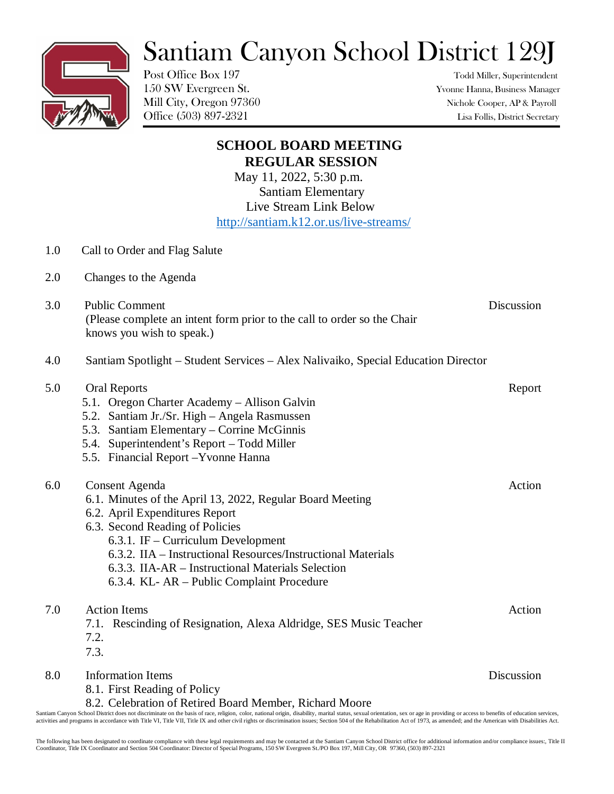## Santiam Canyon School District 129J

Post Office Box 197 Todd Miller, Superintendent

150 SW Evergreen St. Yvonne Hanna, Business Manager Mill City, Oregon 97360 Nichole Cooper, AP & Payroll Office (503) 897-2321 Lisa Follis, District Secretary

|     | <b>SCHOOL BOARD MEETING</b><br><b>REGULAR SESSION</b><br>May 11, 2022, 5:30 p.m.<br><b>Santiam Elementary</b><br>Live Stream Link Below<br>http://santiam.k12.or.us/live-streams/                                                                                                                                                                                |            |
|-----|------------------------------------------------------------------------------------------------------------------------------------------------------------------------------------------------------------------------------------------------------------------------------------------------------------------------------------------------------------------|------------|
| 1.0 | Call to Order and Flag Salute                                                                                                                                                                                                                                                                                                                                    |            |
| 2.0 | Changes to the Agenda                                                                                                                                                                                                                                                                                                                                            |            |
| 3.0 | <b>Public Comment</b><br>(Please complete an intent form prior to the call to order so the Chair<br>knows you wish to speak.)                                                                                                                                                                                                                                    | Discussion |
| 4.0 | Santiam Spotlight – Student Services – Alex Nalivaiko, Special Education Director                                                                                                                                                                                                                                                                                |            |
| 5.0 | <b>Oral Reports</b><br>5.1. Oregon Charter Academy - Allison Galvin<br>5.2. Santiam Jr./Sr. High - Angela Rasmussen<br>5.3. Santiam Elementary – Corrine McGinnis<br>5.4. Superintendent's Report - Todd Miller<br>5.5. Financial Report - Yvonne Hanna                                                                                                          | Report     |
| 6.0 | <b>Consent Agenda</b><br>6.1. Minutes of the April 13, 2022, Regular Board Meeting<br>6.2. April Expenditures Report<br>6.3. Second Reading of Policies<br>6.3.1. IF – Curriculum Development<br>6.3.2. IIA – Instructional Resources/Instructional Materials<br>6.3.3. IIA-AR – Instructional Materials Selection<br>6.3.4. KL- AR – Public Complaint Procedure | Action     |
| 7.0 | <b>Action Items</b><br>7.1. Rescinding of Resignation, Alexa Aldridge, SES Music Teacher<br>7.2.<br>7.3.                                                                                                                                                                                                                                                         | Action     |
| 8.0 | <b>Information Items</b><br>8.1. First Reading of Policy<br>8.2. Celebration of Retired Board Member, Richard Moore                                                                                                                                                                                                                                              | Discussion |

Santiam Canyon School District does not discriminate on the basis of race, religion, color, national origin, disability, marital status, sexual orientation, sex or age in providing or access to benefits of education servic activities and programs in accordance with Title VI, Title VII, Title IX and other civil rights or discrimination issues; Section 504 of the Rehabilitation Act of 1973, as amended; and the American with Disabilities Act.